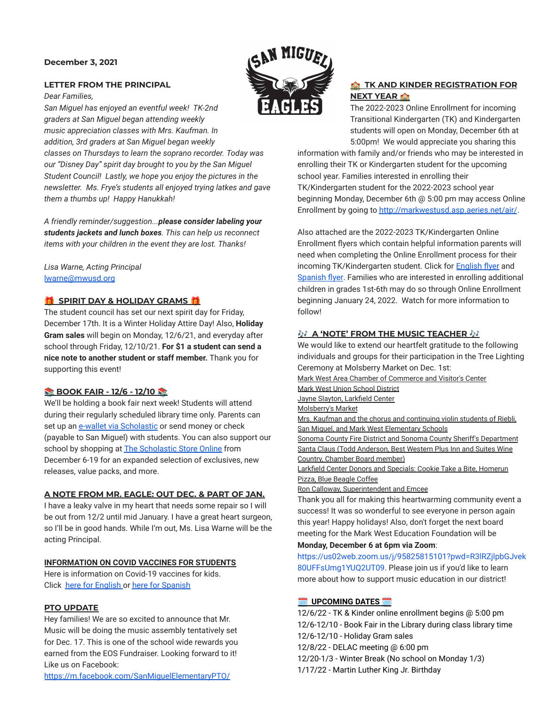#### **December 3, 2021**

#### **LETTER FROM THE PRINCIPAL**

*Dear Families,*

*San Miguel has enjoyed an eventful week! TK-2nd graders at San Miguel began attending weekly music appreciation classes with Mrs. Kaufman. In addition, 3rd graders at San Miguel began weekly classes on Thursdays to learn the soprano recorder. Today was our "Disney Day" spirit day brought to you by the San Miguel Student Council! Lastly, we hope you enjoy the pictures in the newsletter. Ms. Frye's students all enjoyed trying latkes and gave them a thumbs up! Happy Hanukkah!*

*A friendly reminder/suggestion...please consider labeling your students jackets and lunch boxes. This can help us reconnect items with your children in the event they are lost. Thanks!*

*Lisa Warne, Acting Principal* [lwarne@mwusd.org](mailto:lwarne@mwusd.org)

## **SPIRIT DAY & HOLIDAY GRAMS**

The student council has set our next spirit day for Friday, December 17th. It is a Winter Holiday Attire Day! Also, **Holiday Gram sales** will begin on Monday, 12/6/21, and everyday after school through Friday, 12/10/21. **For \$1 a student can send a nice note to another student or staff member.** Thank you for supporting this event!

### **BOOK FAIR - 12/6 - 12/10**

We'll be holding a book fair next week! Students will attend during their regularly scheduled library time only. Parents can set up an [e-wallet via Scholastic](https://bookfairs.scholastic.com/bookfairs/cptoolkit/homepage.do?method=homepage&url=sanmiguelelementaryschool3) or send money or check (payable to San Miguel) with students. You can also support our school by shopping at **[The Scholastic Store Online](https://bookfairs.scholastic.com/bookfairs/cptoolkit/homepage.do?method=homepage&url=sanmiguelelementaryschool3)** from December 6-19 for an expanded selection of exclusives, new releases, value packs, and more.

#### **A NOTE FROM MR. EAGLE: OUT DEC. & PART OF JAN.**

I have a leaky valve in my heart that needs some repair so I will be out from 12/2 until mid January. I have a great heart surgeon, so I'll be in good hands. While I'm out, Ms. Lisa Warne will be the acting Principal.

### **INFORMATION ON COVID VACCINES FOR STUDENTS**

Here is information on Covid-19 vaccines for kids. Click [here for English](https://drive.google.com/file/d/1mNZiklQ3Ypa6vLRn9sdVd32ApoH6rFpP/view?usp=sharing) or [here for Spanish](https://drive.google.com/file/d/1-Ymle4rgQefLfSqj6jxj99g91HHHVDBD/view?usp=sharing)

### **PTO UPDATE**

Hey families! We are so excited to announce that Mr. Music will be doing the music assembly tentatively set for Dec. 17. This is one of the school wide rewards you earned from the EOS Fundraiser. Looking forward to it! Like us on Facebook:





# **TK AND KINDER REGISTRATION FOR NEXT YEAR**

The 2022-2023 Online Enrollment for incoming Transitional Kindergarten (TK) and Kindergarten students will open on Monday, December 6th at 5:00pm! We would appreciate you sharing this

information with family and/or friends who may be interested in enrolling their TK or Kindergarten student for the upcoming school year. Families interested in enrolling their TK/Kindergarten student for the 2022-2023 school year beginning Monday, December 6th @ 5:00 pm may access Online Enrollment by going to <http://markwestusd.asp.aeries.net/air/>.

Also attached are the 2022-2023 TK/Kindergarten Online Enrollment flyers which contain helpful information parents will need when completing the Online Enrollment process for their incoming TK/Kindergarten student. Click for **[English](https://drive.google.com/file/d/1T--eykiGrfEIJClRoq1aSevnAxgVpSDM/view?usp=sharing) flyer** and [Spanish flyer](https://drive.google.com/file/d/1TBek39gh4CZzcWkgbIrO1h88MAO4Fxi_/view?usp=sharing). Families who are interested in enrolling additional children in grades 1st-6th may do so through Online Enrollment beginning January 24, 2022. Watch for more information to follow!

# **A A** 'NOTE' FROM THE MUSIC TEACHER A<sup>1</sup>

We would like to extend our heartfelt gratitude to the following individuals and groups for their participation in the Tree Lighting Ceremony at Molsberry Market on Dec. 1st: Mark West Area Chamber of Commerce and Visitor's Center Mark West Union School District Jayne Slayton, Larkfield Center Molsberry's Market Mrs. Kaufman and the chorus and continuing violin students of Riebli, San Miguel, and Mark West Elementary Schools Sonoma County Fire District and Sonoma County Sheriff's Department

Santa Claus (Todd Anderson, Best Western Plus Inn and Suites Wine Country, Chamber Board member)

Larkfield Center Donors and Specials: Cookie Take a Bite, Homerun Pizza, Blue Beagle Coffee

Ron Calloway, Superintendent and Emcee

Thank you all for making this heartwarming community event a success! It was so wonderful to see everyone in person again this year! Happy holidays! Also, don't forget the next board meeting for the Mark West Education Foundation will be **Monday, December 6 at 6pm via Zoom**:

[https://us02web.zoom.us/j/95825815101?pwd=R3lRZjlpbGJvek](https://us02web.zoom.us/j/95825815101?pwd=R3lRZjlpbGJvek80UFFsUmg1YUQ2UT09) [80UFFsUmg1YUQ2UT09](https://us02web.zoom.us/j/95825815101?pwd=R3lRZjlpbGJvek80UFFsUmg1YUQ2UT09). Please join us if you'd like to learn more about how to support music education in our district!

### **UPCOMING DATES**

12/6/22 - TK & Kinder online enrollment begins @ 5:00 pm 12/6-12/10 - Book Fair in the Library during class library time 12/6-12/10 - Holiday Gram sales 12/8/22 - DELAC meeting @ 6:00 pm 12/20-1/3 - Winter Break (No school on Monday 1/3) 1/17/22 - Martin Luther King Jr. Birthday